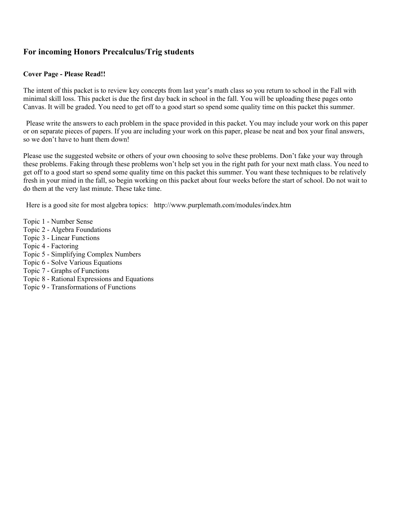## **For incoming Honors Precalculus/Trig students**

### **Cover Page - Please Read!!**

The intent of this packet is to review key concepts from last year's math class so you return to school in the Fall with minimal skill loss. This packet is due the first day back in school in the fall. You will be uploading these pages onto Canvas. It will be graded. You need to get off to a good start so spend some quality time on this packet this summer.

Please write the answers to each problem in the space provided in this packet. You may include your work on this paper or on separate pieces of papers. If you are including your work on this paper, please be neat and box your final answers, so we don't have to hunt them down!

Please use the suggested website or others of your own choosing to solve these problems. Don't fake your way through these problems. Faking through these problems won't help set you in the right path for your next math class. You need to get off to a good start so spend some quality time on this packet this summer. You want these techniques to be relatively fresh in your mind in the fall, so begin working on this packet about four weeks before the start of school. Do not wait to do them at the very last minute. These take time.

Here is a good site for most algebra topics: http://www.purplemath.com/modules/index.htm

- Topic 1 Number Sense
- Topic 2 Algebra Foundations
- Topic 3 Linear Functions
- Topic 4 Factoring
- Topic 5 Simplifying Complex Numbers
- Topic 6 Solve Various Equations
- Topic 7 Graphs of Functions
- Topic 8 Rational Expressions and Equations
- Topic 9 Transformations of Functions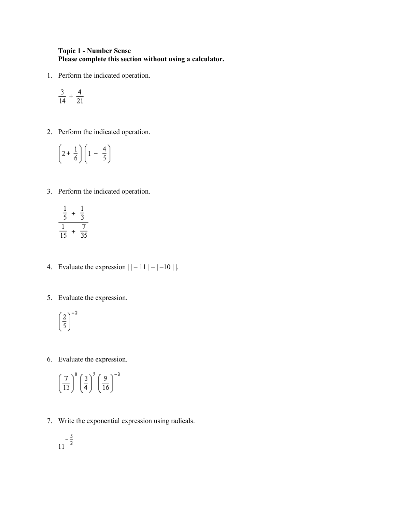### **Topic 1 - Number Sense Please complete this section without using a calculator.**

1. Perform the indicated operation.

$$
\frac{3}{14} + \frac{4}{21}
$$

2. Perform the indicated operation.

$$
\left(2+\frac{1}{6}\right)\left(1-\frac{4}{5}\right)
$$

3. Perform the indicated operation.

$$
\frac{\frac{1}{5} + \frac{1}{3}}{\frac{1}{15} + \frac{7}{35}}
$$

- 4. Evaluate the expression  $|-11| |-10|$ .
- 5. Evaluate the expression.

$$
\left(\frac{2}{5}\right)^{-2}
$$

6. Evaluate the expression.

$$
\left(\frac{7}{13}\right)^0\left(\frac{3}{4}\right)^7\left(\frac{9}{16}\right)^{-3}
$$

7. Write the exponential expression using radicals.

$$
\begin{array}{c}\n-\frac{5}{2} \\
11\n\end{array}
$$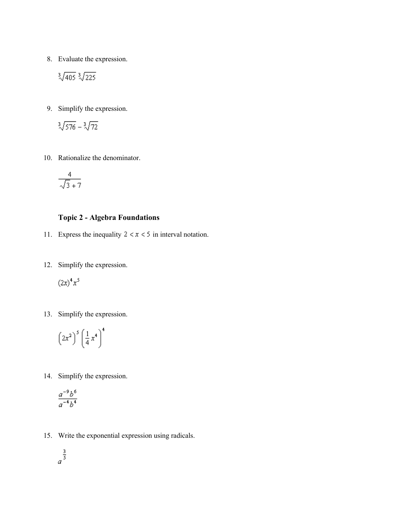8. Evaluate the expression.

$$
\sqrt[3]{405} \sqrt[3]{225}
$$

9. Simplify the expression.

$$
3\sqrt{576} - 3\sqrt{72}
$$

10. Rationalize the denominator.

$$
\frac{4}{\sqrt{3}+7}
$$

### **Topic 2 - Algebra Foundations**

- 11. Express the inequality  $2 < x < 5$  in interval notation.
- 12. Simplify the expression.

 $(2x)^{4}x^{5}$ 

13. Simplify the expression.

$$
\left(2x^2\right)^5 \left(\frac{1}{4}x^4\right)^4
$$

14. Simplify the expression.

$$
\frac{a^{-9}b^6}{a^{-4}b^4}
$$

15. Write the exponential expression using radicals.

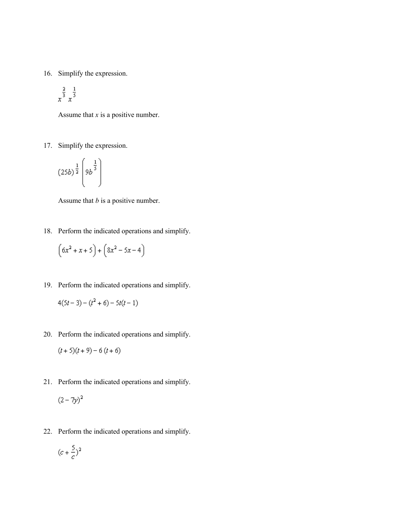16. Simplify the expression.

$$
\begin{array}{ccc}\n&\frac{2}{3} & \frac{1}{5} \\
x^3 & x^5\n\end{array}
$$

Assume that *x* is a positive number.

17. Simplify the expression.

$$
(25b)^{\frac{1}{2}}\left(9b^{\frac{1}{5}}\right)
$$

Assume that *b* is a positive number.

18. Perform the indicated operations and simplify.

$$
\left(6x^2 + x + 5\right) + \left(8x^2 - 5x - 4\right)
$$

19. Perform the indicated operations and simplify.

$$
4(5t-3)-(t^2+6)-5t(t-1)
$$

20. Perform the indicated operations and simplify.

$$
(t+5)(t+9)-6(t+6)
$$

21. Perform the indicated operations and simplify.

$$
(2-7y)^2
$$

22. Perform the indicated operations and simplify.

$$
\big(c+\frac{5}{c}\big)^2
$$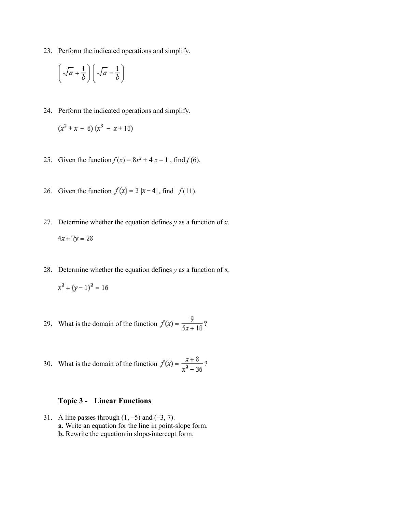23. Perform the indicated operations and simplify.

$$
\left(\sqrt{a} + \frac{1}{b}\right)\left(\sqrt{a} - \frac{1}{b}\right)
$$

24. Perform the indicated operations and simplify.

$$
(x^2 + x - 6) (x^3 - x + 10)
$$

- 25. Given the function  $f(x) = 8x^2 + 4x 1$ , find  $f(6)$ .
- 26. Given the function  $f(x) = 3 |x-4|$ , find  $f(11)$ .
- 27. Determine whether the equation defines *y* as a function of *x*.  $4x + 7y = 28$
- 28. Determine whether the equation defines *y* as a function of x.

$$
x^2 + (y - 1)^2 = 16
$$

- 29. What is the domain of the function  $f(x) = \frac{9}{5x + 10}$ ?
- 30. What is the domain of the function  $f(x) = \frac{x+8}{x^2-36}$ ?

## **Topic 3 - Linear Functions**

31. A line passes through  $(1, -5)$  and  $(-3, 7)$ . **a.** Write an equation for the line in point-slope form. **b.** Rewrite the equation in slope-intercept form.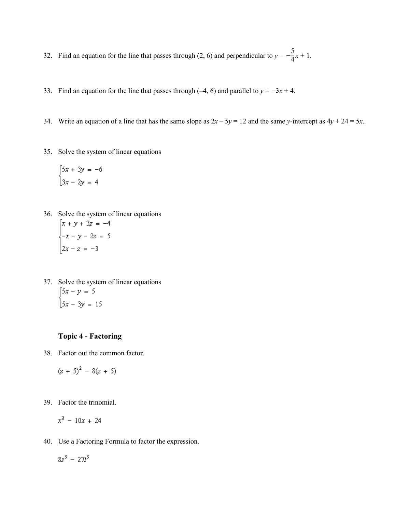- 32. Find an equation for the line that passes through (2, 6) and perpendicular to  $y = -\frac{5}{4}x + 1$ .
	- 33. Find an equation for the line that passes through (–4, 6) and parallel to  $y = -3x + 4$ .
	- 34. Write an equation of a line that has the same slope as  $2x 5y = 12$  and the same *y*-intercept as  $4y + 24 = 5x$ .
	- 35. Solve the system of linear equations

$$
\begin{cases} 5x + 3y = -6 \\ 3x - 2y = 4 \end{cases}
$$

- 36. Solve the system of linear equations<br>  $\begin{cases} x + y + 3z = -4 \\ -x y 2z = 5 \\ 2x z = -3 \end{cases}$
- 37. Solve the system of linear equations<br>  $\begin{cases} 5x y = 5 \\ 5x 3y = 15 \end{cases}$

### **Topic 4 - Factoring**

38. Factor out the common factor.

$$
(z + 5)^2 - 8(z + 5)
$$

39. Factor the trinomial.

$$
x^2-10x+24
$$

40. Use a Factoring Formula to factor the expression.

$$
8s^3 - 27t^3
$$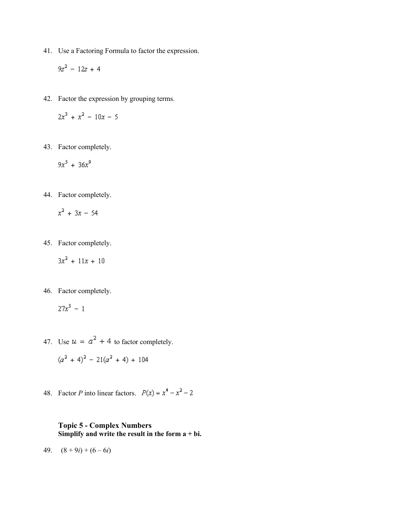41. Use a Factoring Formula to factor the expression.

$$
9z^2 - 12z + 4
$$

 $\overline{a}$ 

42. Factor the expression by grouping terms.

$$
2x^3 + x^2 - 10x - 5
$$

43. Factor completely.

$$
9x^5 + 36x^9
$$

44. Factor completely.

$$
x^2 + 3x - 54
$$

45. Factor completely.

$$
3x^2 + 11x + 10
$$

46. Factor completely.

$$
27x^3-1
$$

47. Use  $u = a^2 + 4$  to factor completely.

$$
(a^2 + 4)^2 - 21(a^2 + 4) + 104
$$

48. Factor *P* into linear factors.  $P(x) = x^4 - x^2 - 2$ 

## **Topic 5 - Complex Numbers Simplify and write the result in the form a + bi.**

49.  $(8 + 9i) + (6 - 6i)$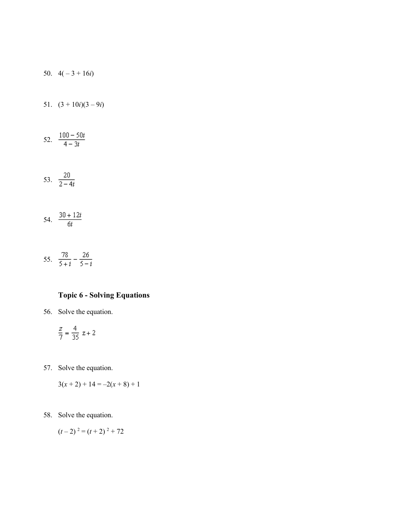50. 
$$
4(-3 + 16i)
$$

51. (3 + 10*i*)(3 – 9*i*)

$$
52. \quad \frac{100 - 50i}{4 - 3i}
$$

$$
53. \ \ \frac{20}{2-4i}
$$

$$
54. \quad \frac{30+12i}{6i}
$$

$$
55. \quad \frac{78}{5+i} - \frac{26}{5-i}
$$

# **Topic 6 - Solving Equations**

56. Solve the equation.

$$
\frac{z}{7} = \frac{4}{35} z + 2
$$

57. Solve the equation.

$$
3(x + 2) + 14 = -2(x + 8) + 1
$$

58. Solve the equation.

$$
(t-2)^2 = (t+2)^2 + 72
$$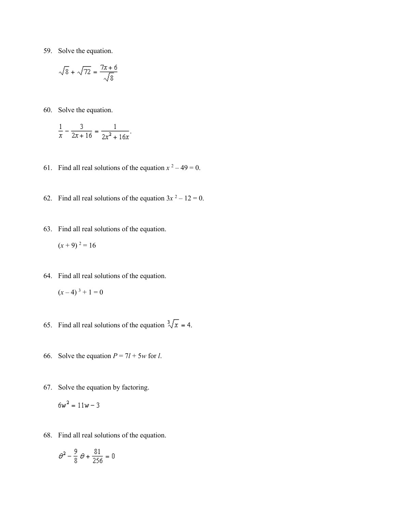59. Solve the equation.

$$
\sqrt{8} + \sqrt{72} = \frac{7x + 6}{\sqrt{8}}
$$

60. Solve the equation.

$$
\frac{1}{x} - \frac{3}{2x + 16} = \frac{1}{2x^2 + 16x}.
$$

- 61. Find all real solutions of the equation  $x^2 49 = 0$ .
- 62. Find all real solutions of the equation  $3x^2 12 = 0$ .
- 63. Find all real solutions of the equation.

$$
(x+9)^2 = 16
$$

64. Find all real solutions of the equation.

$$
(x-4)^3 + 1 = 0
$$

- 65. Find all real solutions of the equation  $\sqrt[3]{x} = 4$ .
- 66. Solve the equation  $P = 7l + 5w$  for *l*.
- 67. Solve the equation by factoring.

$$
6w^2 = 11w - 3
$$

68. Find all real solutions of the equation.

$$
\theta^2-\frac{9}{8} \; \theta+\frac{81}{256}=0
$$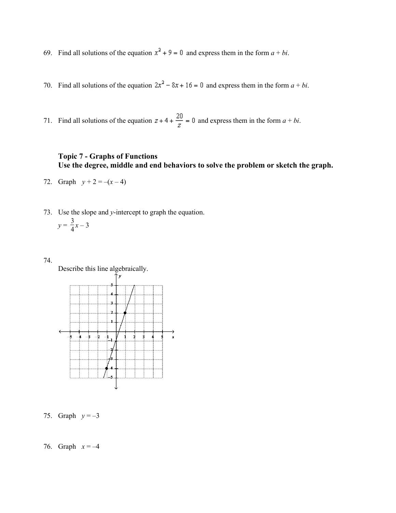- 69. Find all solutions of the equation  $x^2 + 9 = 0$  and express them in the form  $a + bi$ .
- 70. Find all solutions of the equation  $2x^2 8x + 16 = 0$  and express them in the form  $a + bi$ .
- 71. Find all solutions of the equation  $z + 4 + \frac{20}{z} = 0$  and express them in the form  $a + bi$ .

### **Topic 7 - Graphs of Functions Use the degree, middle and end behaviors to solve the problem or sketch the graph.**

- 72. Graph  $y + 2 = -(x 4)$
- 73. Use the slope and *y*-intercept to graph the equation.  $y = \frac{3}{4}x - 3$

#### 74.



75. Graph  $y = -3$ 

### 76. Graph  $x = -4$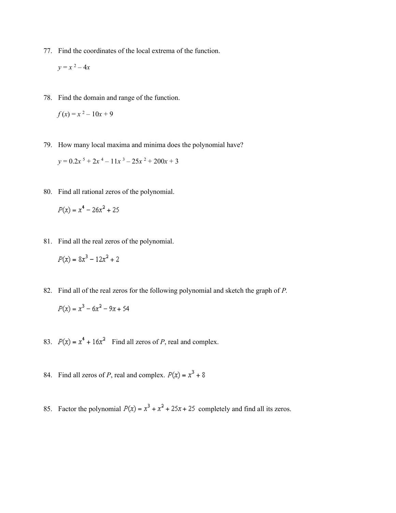77. Find the coordinates of the local extrema of the function.

$$
y = x^2 - 4x
$$

78. Find the domain and range of the function.

$$
f(x) = x^2 - 10x + 9
$$

79. How many local maxima and minima does the polynomial have?

$$
y = 0.2x^{5} + 2x^{4} - 11x^{3} - 25x^{2} + 200x + 3
$$

80. Find all rational zeros of the polynomial.

$$
P(x) = x^4 - 26x^2 + 25
$$

81. Find all the real zeros of the polynomial.

$$
P(x) = 8x^3 - 12x^2 + 2
$$

82. Find all of the real zeros for the following polynomial and sketch the graph of *P.*

$$
P(x) = x^3 - 6x^2 - 9x + 54
$$

- 83.  $P(x) = x^4 + 16x^2$  Find all zeros of *P*, real and complex.
- 84. Find all zeros of *P*, real and complex.  $P(x) = x^3 + 8$
- 85. Factor the polynomial  $P(x) = x^3 + x^2 + 25x + 25$  completely and find all its zeros.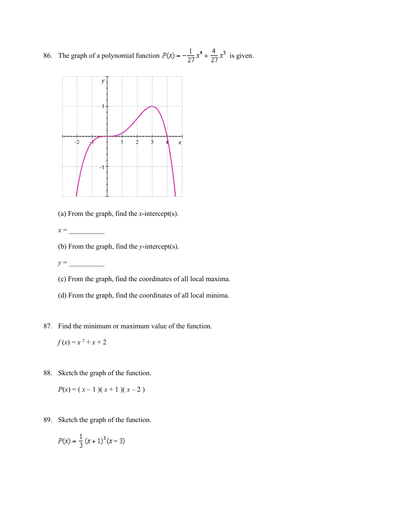86. The graph of a polynomial function  $P(x) = -\frac{1}{27}x^4 + \frac{4}{27}x^3$  is given.



(a) From the graph, find the *x*-intercept(s).

 $x = \_$ 

(b) From the graph, find the *y*-intercept(s).

- *y* = \_\_\_\_\_\_\_\_\_\_
- (c) From the graph, find the coordinates of all local maxima.
- (d) From the graph, find the coordinates of all local minima.
- 87. Find the minimum or maximum value of the function.

 $f(x) = x^2 + x + 2$ 

88. Sketch the graph of the function.

$$
P(x) = (x-1)(x+1)(x-2)
$$

89. Sketch the graph of the function.

$$
P(x) = \frac{1}{3}(x+1)^3(x-3)
$$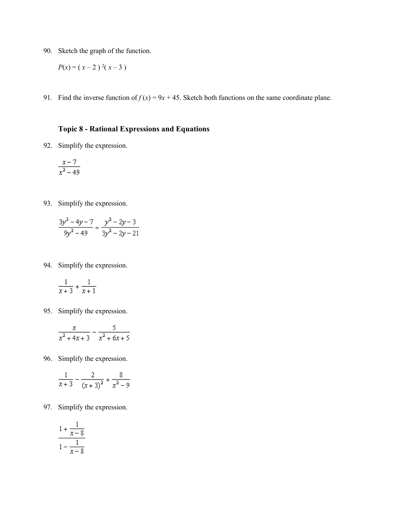90. Sketch the graph of the function.

$$
P(x) = (x-2)^2(x-3)
$$

91. Find the inverse function of  $f(x) = 9x + 45$ . Sketch both functions on the same coordinate plane.

### **Topic 8 - Rational Expressions and Equations**

92. Simplify the expression.

$$
\frac{x-7}{x^2-49}
$$

93. Simplify the expression.

$$
\frac{3y^2-4y-7}{9y^2-49}+\frac{y^2-2y-3}{3y^2-2y-21}
$$

94. Simplify the expression.

$$
\frac{1}{x+3} + \frac{1}{x+1}
$$

95. Simplify the expression.

$$
\frac{x}{x^2+4x+3} - \frac{5}{x^2+6x+5}
$$

96. Simplify the expression.

$$
\frac{1}{x+3} - \frac{2}{(x+3)^2} + \frac{8}{x^2-9}
$$

97. Simplify the expression.

$$
\frac{1+\frac{1}{x-8}}{1-\frac{1}{x-8}}
$$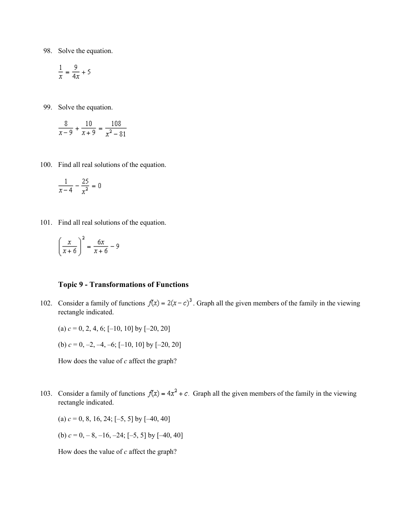98. Solve the equation.

$$
\frac{1}{x} = \frac{9}{4x} + 5
$$

99. Solve the equation.

$$
\frac{8}{x-9} + \frac{10}{x+9} = \frac{108}{x^2 - 81}
$$

100. Find all real solutions of the equation.

$$
\frac{1}{x-4} - \frac{25}{x^2} = 0
$$

101. Find all real solutions of the equation.

$$
\left(\frac{x}{x+6}\right)^2 = \frac{6x}{x+6} - 9
$$

### **Topic 9 - Transformations of Functions**

- 102. Consider a family of functions  $f(x) = 2(x-c)^3$ . Graph all the given members of the family in the viewing rectangle indicated.
	- (a)  $c = 0, 2, 4, 6$ ; [-10, 10] by [-20, 20]
	- (b)  $c = 0, -2, -4, -6$ ; [-10, 10] by [-20, 20]

How does the value of *c* affect the graph?

- 103. Consider a family of functions  $f(x) = 4x^2 + c$ . Graph all the given members of the family in the viewing rectangle indicated.
	- (a)  $c = 0$ , 8, 16, 24; [-5, 5] by [-40, 40]
	- (b)  $c = 0, -8, -16, -24; [-5, 5]$  by  $[-40, 40]$

How does the value of *c* affect the graph?